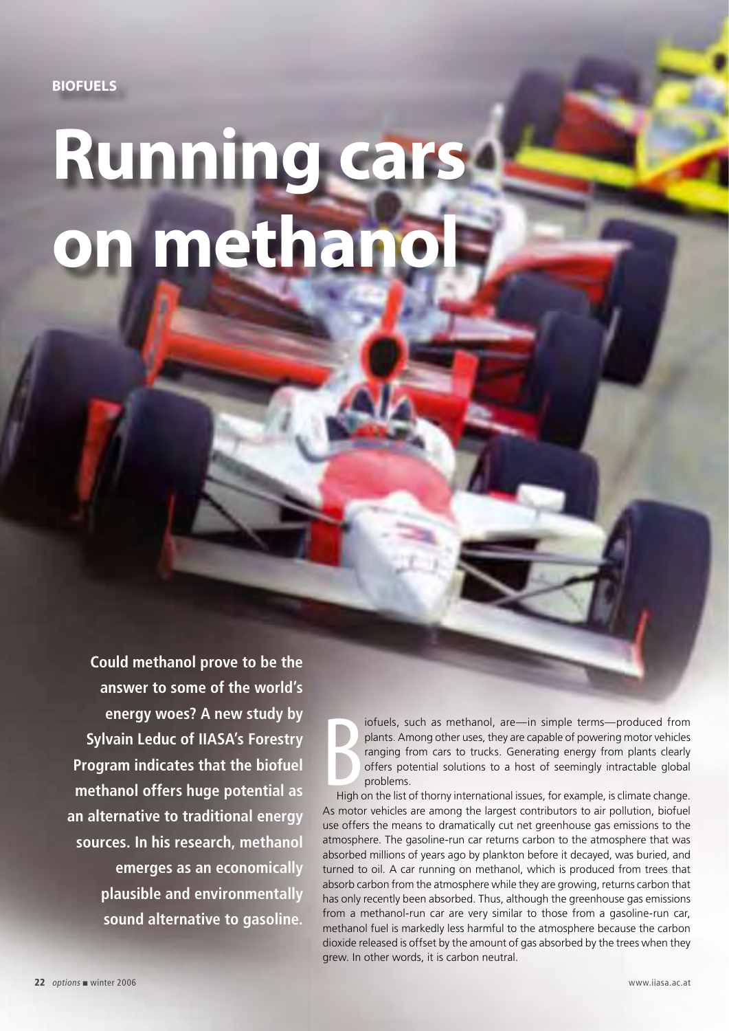## **Running cars**  on methan

**Could methanol prove to be the answer to some of the world's energy woes? A new study by Sylvain Leduc of IIASA's Forestry Program indicates that the biofuel methanol offers huge potential as an alternative to traditional energy sources. In his research, methanol emerges as an economically plausible and environmentally sound alternative to gasoline.**

 $\sum_{\text{High}}$ iofuels, such as methanol, are—in simple terms—produced from plants. Among other uses, they are capable of powering motor vehicles ranging from cars to trucks. Generating energy from plants clearly offers potential solutions to a host of seemingly intractable global problems.

High on the list of thorny international issues, for example, is climate change. As motor vehicles are among the largest contributors to air pollution, biofuel use offers the means to dramatically cut net greenhouse gas emissions to the atmosphere. The gasoline-run car returns carbon to the atmosphere that was absorbed millions of years ago by plankton before it decayed, was buried, and turned to oil. A car running on methanol, which is produced from trees that absorb carbon from the atmosphere while they are growing, returns carbon that has only recently been absorbed. Thus, although the greenhouse gas emissions from a methanol-run car are very similar to those from a gasoline-run car, methanol fuel is markedly less harmful to the atmosphere because the carbon dioxide released is offset by the amount of gas absorbed by the trees when they grew. In other words, it is carbon neutral.